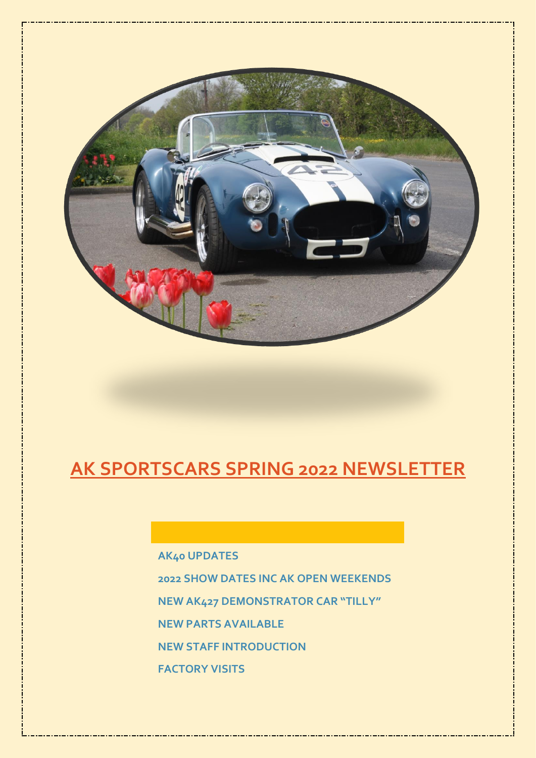

# **AK SPORTSCARS SPRING 2022 NEWSLETTER**

**AK40 UPDATES 2022 SHOW DATES INC AK OPEN WEEKENDS NEW AK427 DEMONSTRATOR CAR "TILLY" NEW PARTS AVAILABLE NEW STAFF INTRODUCTION FACTORY VISITS**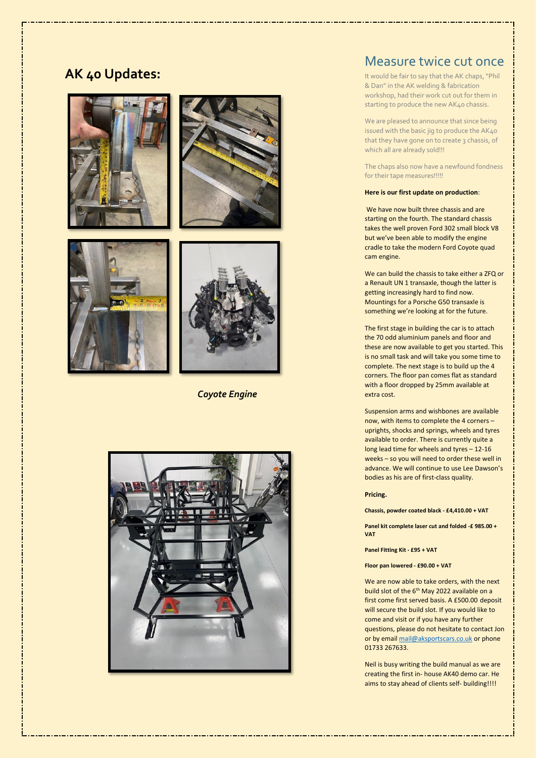# **AK 40 Updates:**









 *Coyote Engine*



## Measure twice cut once

It would be fair to say that the AK chaps,"Phil & Dan" in the AK welding & fabrication workshop, had their work cut out for them in starting to produce the new AK40 chassis.

We are pleased to announce that since being issued with the basic jig to produce the AK40 that they have gone on to create 3 chassis, of which all are already sold!!!

The chaps also now have a newfound fondness for their tape measures!!!!!

#### **Here is our first update on production**:

We have now built three chassis and are starting on the fourth. The standard chassis takes the well proven Ford 302 small block V8 but we've been able to modify the engine cradle to take the modern Ford Coyote quad cam engine.

We can build the chassis to take either a ZFQ or a Renault UN 1 transaxle, though the latter is getting increasingly hard to find now. Mountings for a Porsche G50 transaxle is something we're looking at for the future.

The first stage in building the car is to attach the 70 odd aluminium panels and floor and these are now available to get you started. This is no small task and will take you some time to complete. The next stage is to build up the 4 corners. The floor pan comes flat as standard with a floor dropped by 25mm available at extra cost.

Suspension arms and wishbones are available now, with items to complete the 4 corners – uprights, shocks and springs, wheels and tyres available to order. There is currently quite a long lead time for wheels and tyres – 12-16 weeks – so you will need to order these well in advance. We will continue to use Lee Dawson's bodies as his are of first-class quality.

#### **Pricing.**

**Chassis, powder coated black - £4,410.00 + VAT**

**Panel kit complete laser cut and folded -£ 985.00 + VAT**

**Panel Fitting Kit - £95 + VAT**

**Floor pan lowered - £90.00 + VAT**

We are now able to take orders, with the next build slot of the 6<sup>th</sup> May 2022 available on a first come first served basis. A £500.00 deposit will secure the build slot. If you would like to come and visit or if you have any further questions, please do not hesitate to contact Jon or by emai[l mail@aksportscars.co.uk](mailto:mail@aksportscars.co.uk) or phone 01733 267633.

Neil is busy writing the build manual as we are creating the first in- house AK40 demo car. He aims to stay ahead of clients self- building!!!!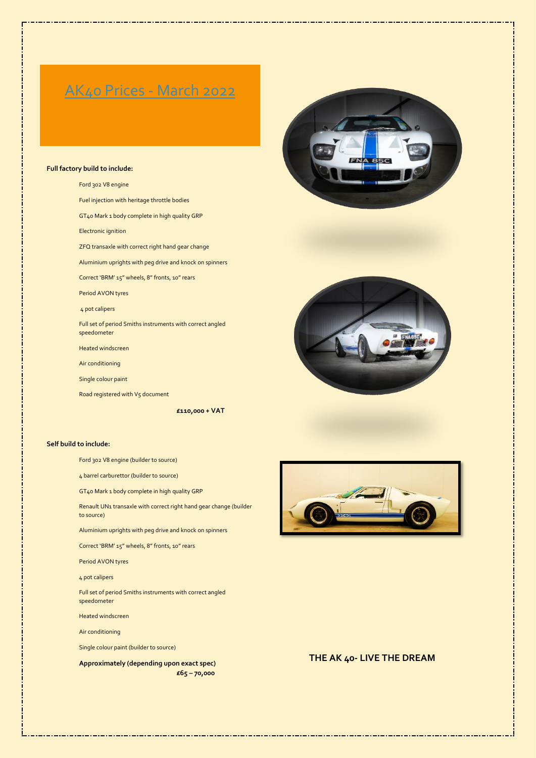# AK40 Prices - March 2022

#### **Full factory build to include:**

Ford 302 V8 engine Fuel injection with heritage throttle bodies GT40 Mark 1 body complete in high quality GRP Electronic ignition ZFQ transaxle with correct right hand gear change Aluminium uprights with peg drive and knock on spinners Correct 'BRM' 15" wheels, 8" fronts, 10" rears Period AVON tyres 4 pot calipers Full set of period Smiths instruments with correct angled speedometer Heated windscreen Air conditioning Single colour paint

Road registered with V5 document

**£110,000 + VAT**

#### **Self build to include:**

Ford 302 V8 engine (builder to source)

4 barrel carburettor (builder to source)

GT40 Mark 1 body complete in high quality GRP

Renault UN1 transaxle with correct right hand gear change (builder to source)

Aluminium uprights with peg drive and knock on spinners

Correct 'BRM' 15" wheels, 8" fronts, 10" rears

Period AVON tyres

4 pot calipers

Full set of period Smiths instruments with correct angled speedometer

Heated windscreen

Air conditioning

Single colour paint (builder to source)

**Approximately (depending upon exact spec) £65 – 70,000**







### **THE AK 40- LIVE THE DREAM**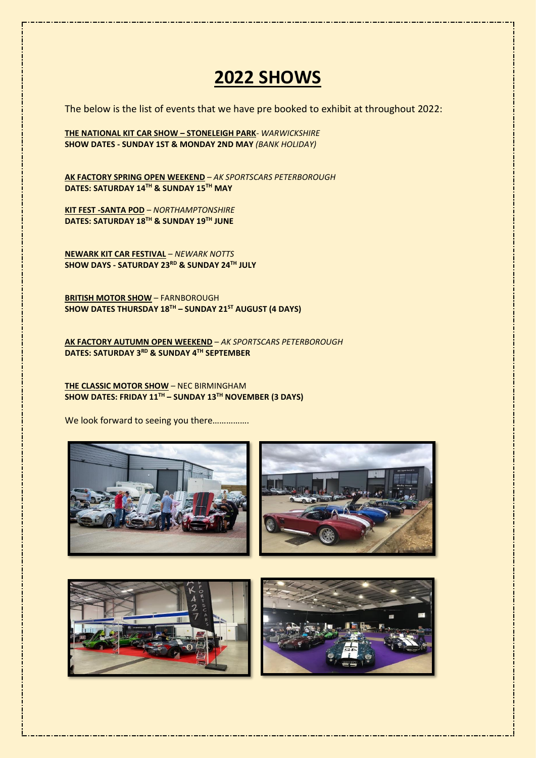# **2022 SHOWS**

The below is the list of events that we have pre booked to exhibit at throughout 2022:

**THE NATIONAL KIT CAR SHOW – STONELEIGH PARK**- *WARWICKSHIRE* **SHOW DATES - SUNDAY 1ST & MONDAY 2ND MAY** *(BANK HOLIDAY)* 

**AK FACTORY SPRING OPEN WEEKEND** – *AK SPORTSCARS PETERBOROUGH* **DATES: SATURDAY 14TH & SUNDAY 15TH MAY**

**KIT FEST -SANTA POD** – *NORTHAMPTONSHIRE* **DATES: SATURDAY 18 TH & SUNDAY 19 TH JUNE**

**NEWARK KIT CAR FESTIVAL** – *NEWARK NOTTS* **SHOW DAYS - SATURDAY 23RD & SUNDAY 24TH JULY**

**BRITISH MOTOR SHOW** – FARNBOROUGH **SHOW DATES THURSDAY 18TH – SUNDAY 21ST AUGUST (4 DAYS)**

**AK FACTORY AUTUMN OPEN WEEKEND** – *AK SPORTSCARS PETERBOROUGH* **DATES: SATURDAY 3 RD & SUNDAY 4 TH SEPTEMBER**

**THE CLASSIC MOTOR SHOW** – NEC BIRMINGHAM **SHOW DATES: FRIDAY 11TH – SUNDAY 13TH NOVEMBER (3 DAYS)**

We look forward to seeing you there................



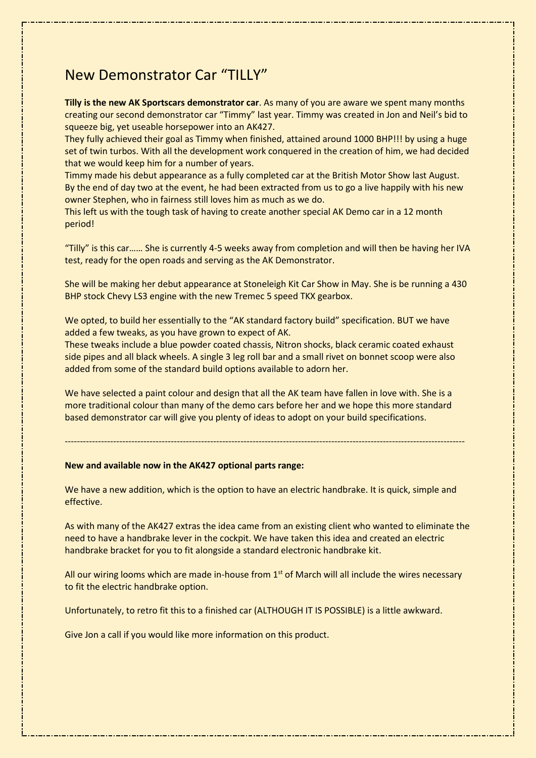# New Demonstrator Car "TILLY"

**Tilly is the new AK Sportscars demonstrator car**. As many of you are aware we spent many months creating our second demonstrator car "Timmy" last year. Timmy was created in Jon and Neil's bid to squeeze big, yet useable horsepower into an AK427.

They fully achieved their goal as Timmy when finished, attained around 1000 BHP!!! by using a huge set of twin turbos. With all the development work conquered in the creation of him, we had decided that we would keep him for a number of years.

Timmy made his debut appearance as a fully completed car at the British Motor Show last August. By the end of day two at the event, he had been extracted from us to go a live happily with his new owner Stephen, who in fairness still loves him as much as we do.

This left us with the tough task of having to create another special AK Demo car in a 12 month period!

"Tilly" is this car…… She is currently 4-5 weeks away from completion and will then be having her IVA test, ready for the open roads and serving as the AK Demonstrator.

She will be making her debut appearance at Stoneleigh Kit Car Show in May. She is be running a 430 BHP stock Chevy LS3 engine with the new Tremec 5 speed TKX gearbox.

We opted, to build her essentially to the "AK standard factory build" specification. BUT we have added a few tweaks, as you have grown to expect of AK.

These tweaks include a blue powder coated chassis, Nitron shocks, black ceramic coated exhaust side pipes and all black wheels. A single 3 leg roll bar and a small rivet on bonnet scoop were also added from some of the standard build options available to adorn her.

We have selected a paint colour and design that all the AK team have fallen in love with. She is a more traditional colour than many of the demo cars before her and we hope this more standard based demonstrator car will give you plenty of ideas to adopt on your build specifications.

## ------------------------------------------------------------------------------------------------------------------------------------

### **New and available now in the AK427 optional parts range:**

We have a new addition, which is the option to have an electric handbrake. It is quick, simple and effective.

As with many of the AK427 extras the idea came from an existing client who wanted to eliminate the need to have a handbrake lever in the cockpit. We have taken this idea and created an electric handbrake bracket for you to fit alongside a standard electronic handbrake kit.

All our wiring looms which are made in-house from  $1<sup>st</sup>$  of March will all include the wires necessary to fit the electric handbrake option.

Unfortunately, to retro fit this to a finished car (ALTHOUGH IT IS POSSIBLE) is a little awkward.

Give Jon a call if you would like more information on this product.